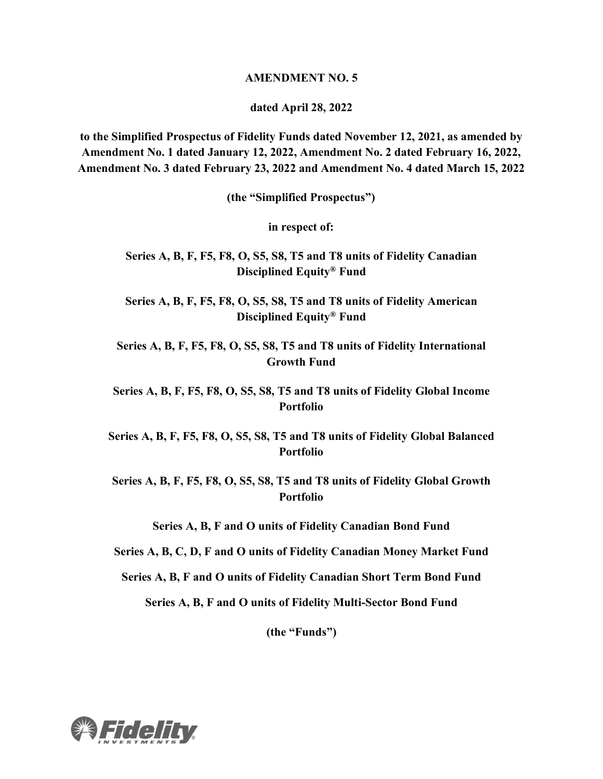#### **AMENDMENT NO. 5**

#### **dated April 28, 2022**

**to the Simplified Prospectus of Fidelity Funds dated November 12, 2021, as amended by Amendment No. 1 dated January 12, 2022, Amendment No. 2 dated February 16, 2022, Amendment No. 3 dated February 23, 2022 and Amendment No. 4 dated March 15, 2022**

**(the "Simplified Prospectus")**

**in respect of:**

**Series A, B, F, F5, F8, O, S5, S8, T5 and T8 units of Fidelity Canadian Disciplined Equity® Fund**

**Series A, B, F, F5, F8, O, S5, S8, T5 and T8 units of Fidelity American Disciplined Equity® Fund**

**Series A, B, F, F5, F8, O, S5, S8, T5 and T8 units of Fidelity International Growth Fund**

**Series A, B, F, F5, F8, O, S5, S8, T5 and T8 units of Fidelity Global Income Portfolio**

**Series A, B, F, F5, F8, O, S5, S8, T5 and T8 units of Fidelity Global Balanced Portfolio**

**Series A, B, F, F5, F8, O, S5, S8, T5 and T8 units of Fidelity Global Growth Portfolio**

**Series A, B, F and O units of Fidelity Canadian Bond Fund**

**Series A, B, C, D, F and O units of Fidelity Canadian Money Market Fund**

**Series A, B, F and O units of Fidelity Canadian Short Term Bond Fund**

**Series A, B, F and O units of Fidelity Multi-Sector Bond Fund**

**(the "Funds")**

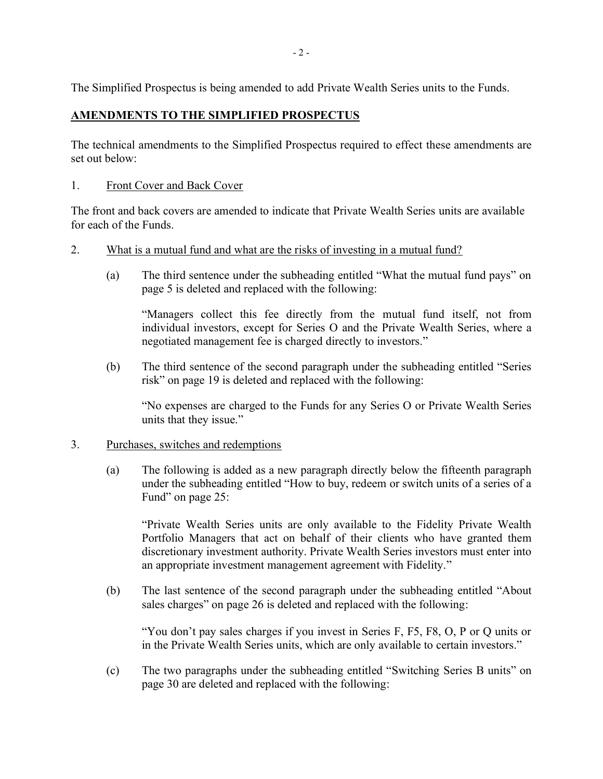The Simplified Prospectus is being amended to add Private Wealth Series units to the Funds.

# **AMENDMENTS TO THE SIMPLIFIED PROSPECTUS**

The technical amendments to the Simplified Prospectus required to effect these amendments are set out below:

## 1. Front Cover and Back Cover

The front and back covers are amended to indicate that Private Wealth Series units are available for each of the Funds.

- 2. What is a mutual fund and what are the risks of investing in a mutual fund?
	- (a) The third sentence under the subheading entitled "What the mutual fund pays" on page 5 is deleted and replaced with the following:

"Managers collect this fee directly from the mutual fund itself, not from individual investors, except for Series O and the Private Wealth Series, where a negotiated management fee is charged directly to investors."

(b) The third sentence of the second paragraph under the subheading entitled "Series risk" on page 19 is deleted and replaced with the following:

"No expenses are charged to the Funds for any Series O or Private Wealth Series units that they issue."

#### 3. Purchases, switches and redemptions

(a) The following is added as a new paragraph directly below the fifteenth paragraph under the subheading entitled "How to buy, redeem or switch units of a series of a Fund" on page 25:

"Private Wealth Series units are only available to the Fidelity Private Wealth Portfolio Managers that act on behalf of their clients who have granted them discretionary investment authority. Private Wealth Series investors must enter into an appropriate investment management agreement with Fidelity."

(b) The last sentence of the second paragraph under the subheading entitled "About sales charges" on page 26 is deleted and replaced with the following:

"You don't pay sales charges if you invest in Series F, F5, F8, O, P or Q units or in the Private Wealth Series units, which are only available to certain investors."

(c) The two paragraphs under the subheading entitled "Switching Series B units" on page 30 are deleted and replaced with the following: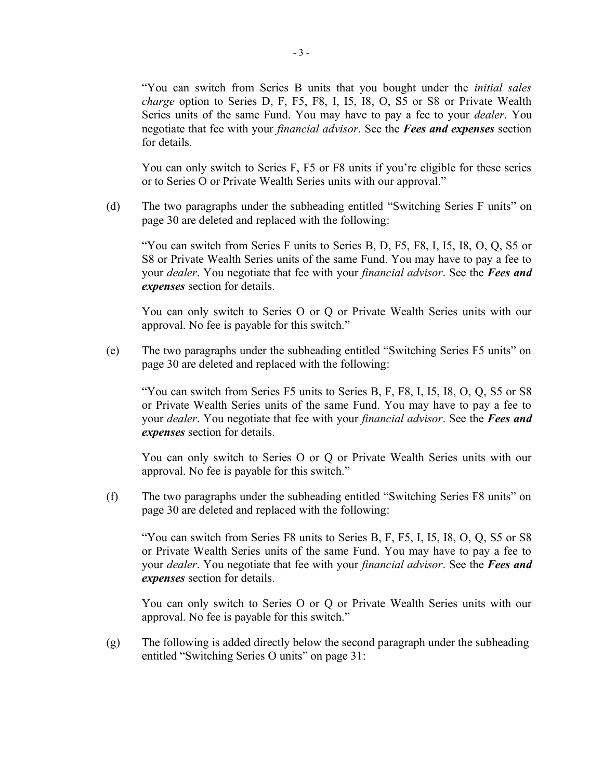"You can switch from Series B units that you bought under the *initial sales charge* option to Series D, F, F5, F8, I, I5, I8, O, S5 or S8 or Private Wealth Series units of the same Fund. You may have to pay a fee to your *dealer*. You negotiate that fee with your *financial advisor*. See the *Fees and expenses* section for details.

You can only switch to Series F, F5 or F8 units if you're eligible for these series or to Series O or Private Wealth Series units with our approval."

(d) The two paragraphs under the subheading entitled "Switching Series F units" on page 30 are deleted and replaced with the following:

"You can switch from Series F units to Series B, D, F5, F8, I, I5, I8, O, Q, S5 or S8 or Private Wealth Series units of the same Fund. You may have to pay a fee to your *dealer*. You negotiate that fee with your *financial advisor*. See the *Fees and expenses* section for details.

You can only switch to Series O or Q or Private Wealth Series units with our approval. No fee is payable for this switch."

(e) The two paragraphs under the subheading entitled "Switching Series F5 units" on page 30 are deleted and replaced with the following:

"You can switch from Series F5 units to Series B, F, F8, I, I5, I8, O, Q, S5 or S8 or Private Wealth Series units of the same Fund. You may have to pay a fee to your *dealer*. You negotiate that fee with your *financial advisor*. See the *Fees and expenses* section for details.

You can only switch to Series O or Q or Private Wealth Series units with our approval. No fee is payable for this switch."

(f) The two paragraphs under the subheading entitled "Switching Series F8 units" on page 30 are deleted and replaced with the following:

"You can switch from Series F8 units to Series B, F, F5, I, I5, I8, O, Q, S5 or S8 or Private Wealth Series units of the same Fund. You may have to pay a fee to your *dealer*. You negotiate that fee with your *financial advisor*. See the *Fees and expenses* section for details.

You can only switch to Series O or Q or Private Wealth Series units with our approval. No fee is payable for this switch."

(g) The following is added directly below the second paragraph under the subheading entitled "Switching Series O units" on page 31: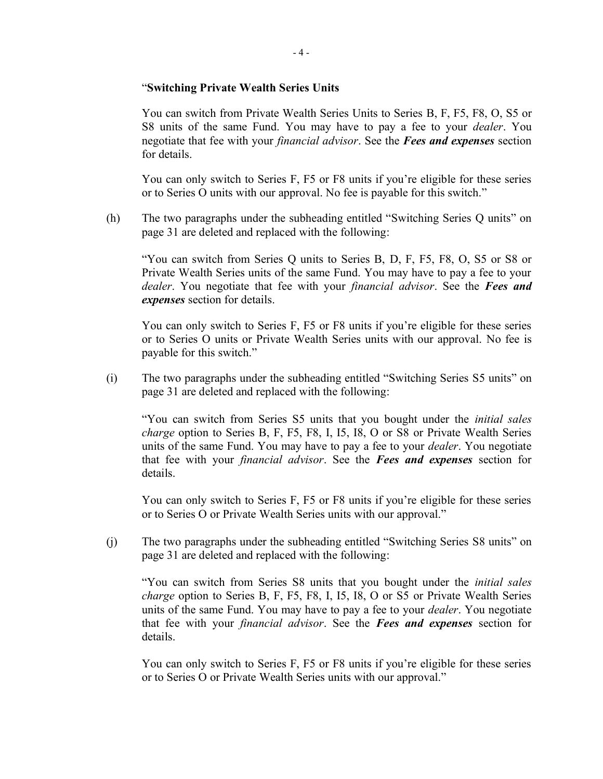#### "**Switching Private Wealth Series Units**

You can switch from Private Wealth Series Units to Series B, F, F5, F8, O, S5 or S8 units of the same Fund. You may have to pay a fee to your *dealer*. You negotiate that fee with your *financial advisor*. See the *Fees and expenses* section for details.

You can only switch to Series F, F5 or F8 units if you're eligible for these series or to Series O units with our approval. No fee is payable for this switch."

(h) The two paragraphs under the subheading entitled "Switching Series Q units" on page 31 are deleted and replaced with the following:

"You can switch from Series Q units to Series B, D, F, F5, F8, O, S5 or S8 or Private Wealth Series units of the same Fund. You may have to pay a fee to your *dealer*. You negotiate that fee with your *financial advisor*. See the *Fees and expenses* section for details.

You can only switch to Series F, F5 or F8 units if you're eligible for these series or to Series O units or Private Wealth Series units with our approval. No fee is payable for this switch."

(i) The two paragraphs under the subheading entitled "Switching Series S5 units" on page 31 are deleted and replaced with the following:

"You can switch from Series S5 units that you bought under the *initial sales charge* option to Series B, F, F5, F8, I, I5, I8, O or S8 or Private Wealth Series units of the same Fund. You may have to pay a fee to your *dealer*. You negotiate that fee with your *financial advisor*. See the *Fees and expenses* section for details.

You can only switch to Series F, F5 or F8 units if you're eligible for these series or to Series O or Private Wealth Series units with our approval."

(j) The two paragraphs under the subheading entitled "Switching Series S8 units" on page 31 are deleted and replaced with the following:

"You can switch from Series S8 units that you bought under the *initial sales charge* option to Series B, F, F5, F8, I, I5, I8, O or S5 or Private Wealth Series units of the same Fund. You may have to pay a fee to your *dealer*. You negotiate that fee with your *financial advisor*. See the *Fees and expenses* section for details.

You can only switch to Series F, F5 or F8 units if you're eligible for these series or to Series O or Private Wealth Series units with our approval."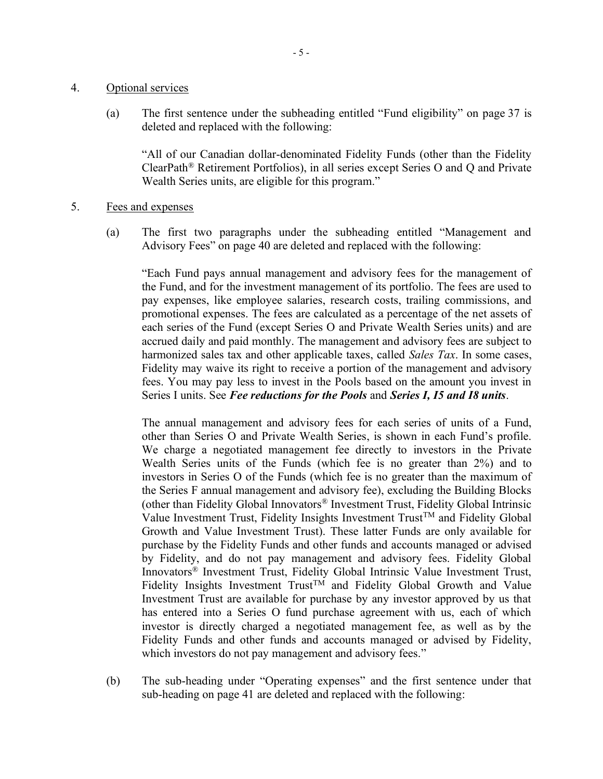#### 4. Optional services

(a) The first sentence under the subheading entitled "Fund eligibility" on page 37 is deleted and replaced with the following:

"All of our Canadian dollar-denominated Fidelity Funds (other than the Fidelity ClearPath® Retirement Portfolios), in all series except Series O and Q and Private Wealth Series units, are eligible for this program."

- 5. Fees and expenses
	- (a) The first two paragraphs under the subheading entitled "Management and Advisory Fees" on page 40 are deleted and replaced with the following:

"Each Fund pays annual management and advisory fees for the management of the Fund, and for the investment management of its portfolio. The fees are used to pay expenses, like employee salaries, research costs, trailing commissions, and promotional expenses. The fees are calculated as a percentage of the net assets of each series of the Fund (except Series O and Private Wealth Series units) and are accrued daily and paid monthly. The management and advisory fees are subject to harmonized sales tax and other applicable taxes, called *Sales Tax*. In some cases, Fidelity may waive its right to receive a portion of the management and advisory fees. You may pay less to invest in the Pools based on the amount you invest in Series I units. See *Fee reductions for the Pools* and *Series I, I5 and I8 units*.

The annual management and advisory fees for each series of units of a Fund, other than Series O and Private Wealth Series, is shown in each Fund's profile. We charge a negotiated management fee directly to investors in the Private Wealth Series units of the Funds (which fee is no greater than 2%) and to investors in Series O of the Funds (which fee is no greater than the maximum of the Series F annual management and advisory fee), excluding the Building Blocks (other than Fidelity Global Innovators® Investment Trust, Fidelity Global Intrinsic Value Investment Trust, Fidelity Insights Investment  $T$ rust<sup>TM</sup> and Fidelity Global Growth and Value Investment Trust). These latter Funds are only available for purchase by the Fidelity Funds and other funds and accounts managed or advised by Fidelity, and do not pay management and advisory fees. Fidelity Global Innovators® Investment Trust, Fidelity Global Intrinsic Value Investment Trust, Fidelity Insights Investment  $Trust^{TM}$  and Fidelity Global Growth and Value Investment Trust are available for purchase by any investor approved by us that has entered into a Series O fund purchase agreement with us, each of which investor is directly charged a negotiated management fee, as well as by the Fidelity Funds and other funds and accounts managed or advised by Fidelity, which investors do not pay management and advisory fees."

(b) The sub-heading under "Operating expenses" and the first sentence under that sub-heading on page 41 are deleted and replaced with the following: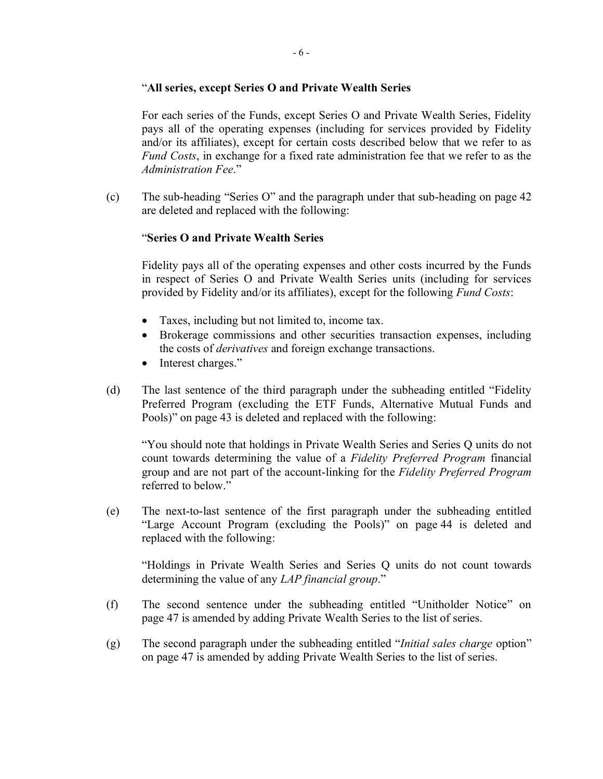## "**All series, except Series O and Private Wealth Series**

For each series of the Funds, except Series O and Private Wealth Series, Fidelity pays all of the operating expenses (including for services provided by Fidelity and/or its affiliates), except for certain costs described below that we refer to as *Fund Costs*, in exchange for a fixed rate administration fee that we refer to as the *Administration Fee*."

(c) The sub-heading "Series O" and the paragraph under that sub-heading on page 42 are deleted and replaced with the following:

# "**Series O and Private Wealth Series**

Fidelity pays all of the operating expenses and other costs incurred by the Funds in respect of Series O and Private Wealth Series units (including for services provided by Fidelity and/or its affiliates), except for the following *Fund Costs*:

- Taxes, including but not limited to, income tax.
- Brokerage commissions and other securities transaction expenses, including the costs of *derivatives* and foreign exchange transactions.
- Interest charges."
- (d) The last sentence of the third paragraph under the subheading entitled "Fidelity Preferred Program (excluding the ETF Funds, Alternative Mutual Funds and Pools)" on page 43 is deleted and replaced with the following:

"You should note that holdings in Private Wealth Series and Series Q units do not count towards determining the value of a *Fidelity Preferred Program* financial group and are not part of the account-linking for the *Fidelity Preferred Program* referred to below."

(e) The next-to-last sentence of the first paragraph under the subheading entitled "Large Account Program (excluding the Pools)" on page 44 is deleted and replaced with the following:

"Holdings in Private Wealth Series and Series Q units do not count towards determining the value of any *LAP financial group*."

- (f) The second sentence under the subheading entitled "Unitholder Notice" on page 47 is amended by adding Private Wealth Series to the list of series.
- (g) The second paragraph under the subheading entitled "*Initial sales charge* option" on page 47 is amended by adding Private Wealth Series to the list of series.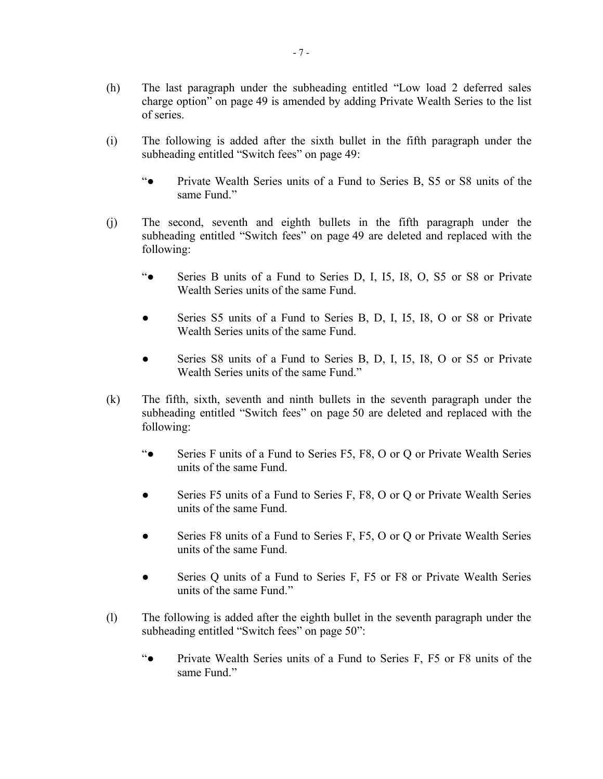- (h) The last paragraph under the subheading entitled "Low load 2 deferred sales charge option" on page 49 is amended by adding Private Wealth Series to the list of series.
- (i) The following is added after the sixth bullet in the fifth paragraph under the subheading entitled "Switch fees" on page 49:
	- "● Private Wealth Series units of a Fund to Series B, S5 or S8 units of the same Fund."
- (j) The second, seventh and eighth bullets in the fifth paragraph under the subheading entitled "Switch fees" on page 49 are deleted and replaced with the following:
	- "● Series B units of a Fund to Series D, I, I5, I8, O, S5 or S8 or Private Wealth Series units of the same Fund.
	- Series S5 units of a Fund to Series B, D, I, I5, I8, O or S8 or Private Wealth Series units of the same Fund.
	- Series S8 units of a Fund to Series B, D, I, I5, I8, O or S5 or Private Wealth Series units of the same Fund."
- (k) The fifth, sixth, seventh and ninth bullets in the seventh paragraph under the subheading entitled "Switch fees" on page 50 are deleted and replaced with the following:
	- "● Series F units of a Fund to Series F5, F8, O or Q or Private Wealth Series units of the same Fund.
	- Series F5 units of a Fund to Series F, F8, O or Q or Private Wealth Series units of the same Fund.
	- Series F8 units of a Fund to Series F, F5, O or Q or Private Wealth Series units of the same Fund.
	- Series Q units of a Fund to Series F, F5 or F8 or Private Wealth Series units of the same Fund."
- (l) The following is added after the eighth bullet in the seventh paragraph under the subheading entitled "Switch fees" on page 50":
	- "● Private Wealth Series units of a Fund to Series F, F5 or F8 units of the same Fund."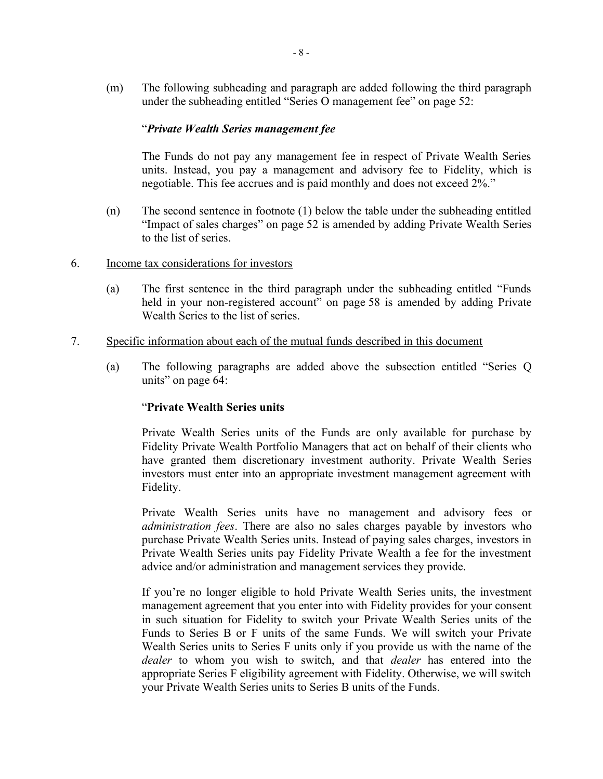(m) The following subheading and paragraph are added following the third paragraph under the subheading entitled "Series O management fee" on page 52:

### "*Private Wealth Series management fee*

The Funds do not pay any management fee in respect of Private Wealth Series units. Instead, you pay a management and advisory fee to Fidelity, which is negotiable. This fee accrues and is paid monthly and does not exceed 2%."

- (n) The second sentence in footnote (1) below the table under the subheading entitled "Impact of sales charges" on page 52 is amended by adding Private Wealth Series to the list of series.
- 6. Income tax considerations for investors
	- (a) The first sentence in the third paragraph under the subheading entitled "Funds held in your non-registered account" on page 58 is amended by adding Private Wealth Series to the list of series.
- 7. Specific information about each of the mutual funds described in this document
	- (a) The following paragraphs are added above the subsection entitled "Series Q units" on page 64:

## "**Private Wealth Series units**

Private Wealth Series units of the Funds are only available for purchase by Fidelity Private Wealth Portfolio Managers that act on behalf of their clients who have granted them discretionary investment authority. Private Wealth Series investors must enter into an appropriate investment management agreement with Fidelity.

Private Wealth Series units have no management and advisory fees or *administration fees*. There are also no sales charges payable by investors who purchase Private Wealth Series units. Instead of paying sales charges, investors in Private Wealth Series units pay Fidelity Private Wealth a fee for the investment advice and/or administration and management services they provide.

If you're no longer eligible to hold Private Wealth Series units, the investment management agreement that you enter into with Fidelity provides for your consent in such situation for Fidelity to switch your Private Wealth Series units of the Funds to Series B or F units of the same Funds. We will switch your Private Wealth Series units to Series F units only if you provide us with the name of the *dealer* to whom you wish to switch, and that *dealer* has entered into the appropriate Series F eligibility agreement with Fidelity. Otherwise, we will switch your Private Wealth Series units to Series B units of the Funds.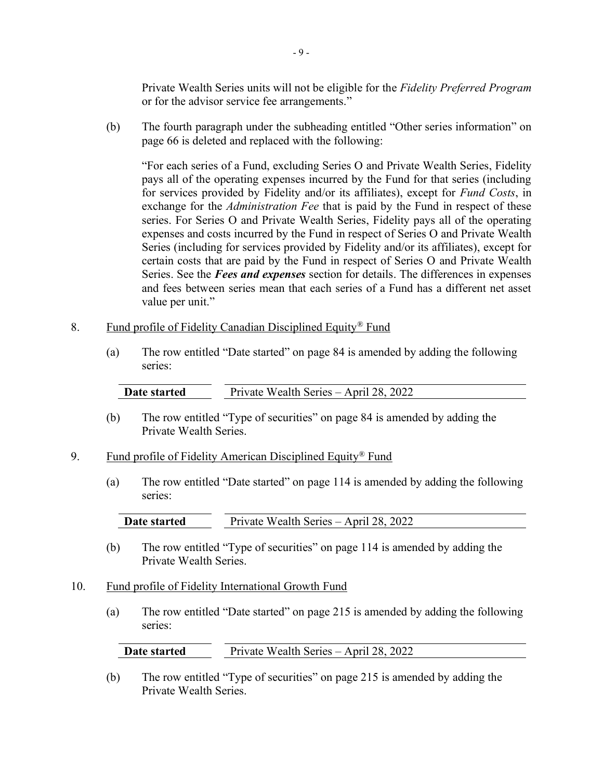Private Wealth Series units will not be eligible for the *Fidelity Preferred Program* or for the advisor service fee arrangements."

(b) The fourth paragraph under the subheading entitled "Other series information" on page 66 is deleted and replaced with the following:

"For each series of a Fund, excluding Series O and Private Wealth Series, Fidelity pays all of the operating expenses incurred by the Fund for that series (including for services provided by Fidelity and/or its affiliates), except for *Fund Costs*, in exchange for the *Administration Fee* that is paid by the Fund in respect of these series. For Series O and Private Wealth Series, Fidelity pays all of the operating expenses and costs incurred by the Fund in respect of Series O and Private Wealth Series (including for services provided by Fidelity and/or its affiliates), except for certain costs that are paid by the Fund in respect of Series O and Private Wealth Series. See the *Fees and expenses* section for details. The differences in expenses and fees between series mean that each series of a Fund has a different net asset value per unit."

- 8. Fund profile of Fidelity Canadian Disciplined Equity<sup>®</sup> Fund
	- (a) The row entitled "Date started" on page 84 is amended by adding the following series:

| Date started | Private Wealth Series – April 28, 2022 |
|--------------|----------------------------------------|
|--------------|----------------------------------------|

- (b) The row entitled "Type of securities" on page 84 is amended by adding the Private Wealth Series.
- 9. Fund profile of Fidelity American Disciplined Equity<sup>®</sup> Fund
	- (a) The row entitled "Date started" on page 114 is amended by adding the following series:

| Date started | Private Wealth Series – April 28, 2022 |  |
|--------------|----------------------------------------|--|
|--------------|----------------------------------------|--|

- (b) The row entitled "Type of securities" on page 114 is amended by adding the Private Wealth Series.
- 10. Fund profile of Fidelity International Growth Fund
	- (a) The row entitled "Date started" on page 215 is amended by adding the following series:

| Date started | Private Wealth Series – April 28, 2022 |
|--------------|----------------------------------------|
|--------------|----------------------------------------|

(b) The row entitled "Type of securities" on page 215 is amended by adding the Private Wealth Series.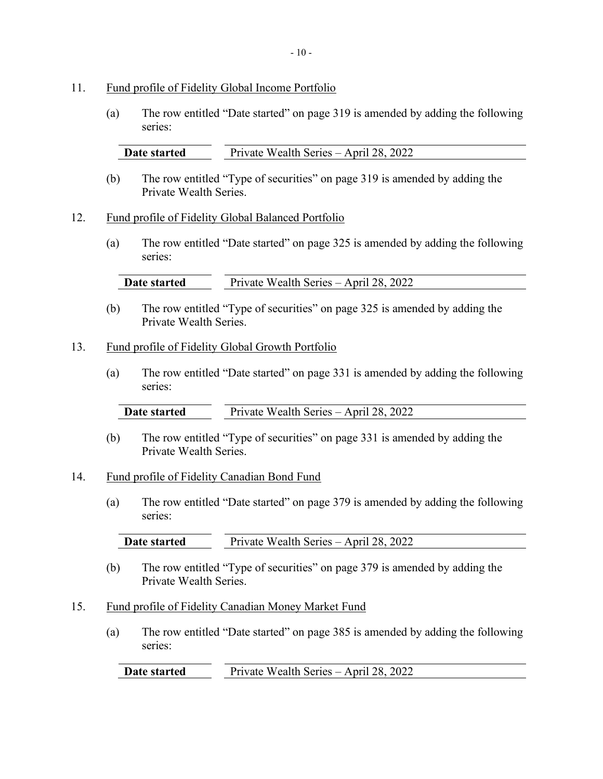#### 11. Fund profile of Fidelity Global Income Portfolio

(a) The row entitled "Date started" on page 319 is amended by adding the following series:

| Date started | Private Wealth Series – April 28, 2022 |
|--------------|----------------------------------------|
|              |                                        |

(b) The row entitled "Type of securities" on page 319 is amended by adding the Private Wealth Series.

## 12. Fund profile of Fidelity Global Balanced Portfolio

(a) The row entitled "Date started" on page 325 is amended by adding the following series:

| Date started | Wealth Series – April 28, 2022<br>Private |
|--------------|-------------------------------------------|
|              |                                           |

(b) The row entitled "Type of securities" on page 325 is amended by adding the Private Wealth Series.

#### 13. Fund profile of Fidelity Global Growth Portfolio

(a) The row entitled "Date started" on page 331 is amended by adding the following series:

| Date started | Private Wealth Series – April 28, 2022 |
|--------------|----------------------------------------|
|              |                                        |

(b) The row entitled "Type of securities" on page 331 is amended by adding the Private Wealth Series.

# 14. Fund profile of Fidelity Canadian Bond Fund

(a) The row entitled "Date started" on page 379 is amended by adding the following series:

| Date started | Private Wealth Series – April 28, 2022 |
|--------------|----------------------------------------|

(b) The row entitled "Type of securities" on page 379 is amended by adding the Private Wealth Series.

## 15. Fund profile of Fidelity Canadian Money Market Fund

(a) The row entitled "Date started" on page 385 is amended by adding the following series:

**Date started** Private Wealth Series – April 28, 2022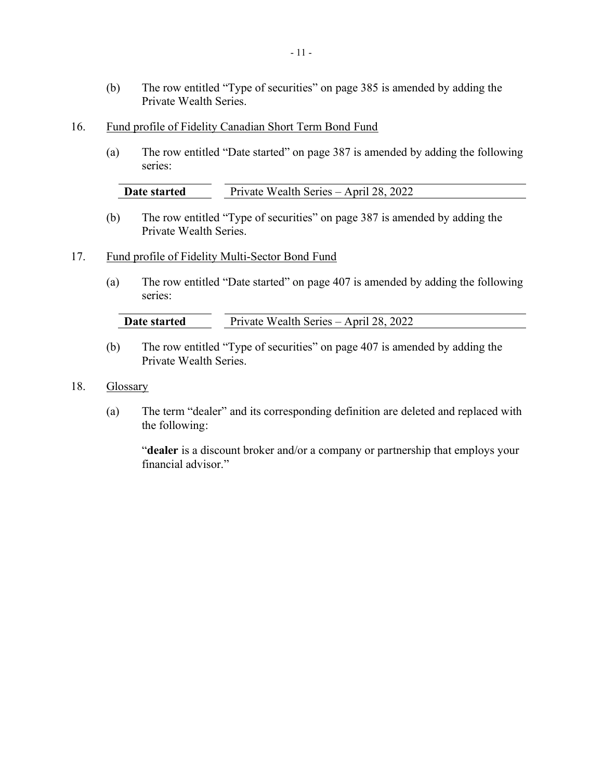- (b) The row entitled "Type of securities" on page 385 is amended by adding the Private Wealth Series.
- 16. Fund profile of Fidelity Canadian Short Term Bond Fund
	- (a) The row entitled "Date started" on page 387 is amended by adding the following series:

| Date started | Private Wealth Series – April 28, 2022 |
|--------------|----------------------------------------|

(b) The row entitled "Type of securities" on page 387 is amended by adding the Private Wealth Series.

#### 17. Fund profile of Fidelity Multi-Sector Bond Fund

(a) The row entitled "Date started" on page 407 is amended by adding the following series:

| Date started | Private Wealth Series – April 28, 2022 |
|--------------|----------------------------------------|

- (b) The row entitled "Type of securities" on page 407 is amended by adding the Private Wealth Series.
- 18. Glossary
	- (a) The term "dealer" and its corresponding definition are deleted and replaced with the following:

"**dealer** is a discount broker and/or a company or partnership that employs your financial advisor."